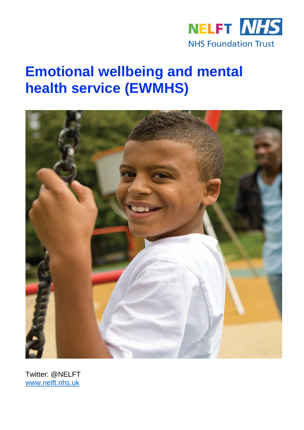

# **Emotional wellbeing and mental health service (EWMHS)**



Twitter: @NELFT [www.nelft.nhs.uk](http://www.nelft.nhs.uk/)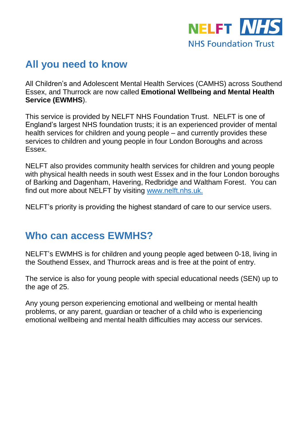

# **All you need to know**

All Children's and Adolescent Mental Health Services (CAMHS) across Southend Essex, and Thurrock are now called **Emotional Wellbeing and Mental Health Service (EWMHS**).

This service is provided by NELFT NHS Foundation Trust. NELFT is one of England's largest NHS foundation trusts; it is an experienced provider of mental health services for children and young people – and currently provides these services to children and young people in four London Boroughs and across Essex.

NELFT also provides community health services for children and young people with physical health needs in south west Essex and in the four London boroughs of Barking and Dagenham, Havering, Redbridge and Waltham Forest. You can find out more about NELFT by visiting [www.nelft.nhs.uk.](http://www.nelft.nhs.uk/)

NELFT's priority is providing the highest standard of care to our service users.

### **Who can access EWMHS?**

NELFT's EWMHS is for children and young people aged between 0-18, living in the Southend Essex, and Thurrock areas and is free at the point of entry.

The service is also for young people with special educational needs (SEN) up to the age of 25.

Any young person experiencing emotional and wellbeing or mental health problems, or any parent, guardian or teacher of a child who is experiencing emotional wellbeing and mental health difficulties may access our services.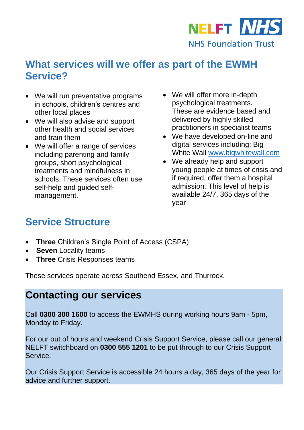

# **What services will we offer as part of the EWMH Service?**

- We will run preventative programs in schools, children's centres and other local places
- We will also advise and support other health and social services and train them
- We will offer a range of services including parenting and family groups, short psychological treatments and mindfulness in schools. These services often use self-help and guided selfmanagement.
- We will offer more in-depth psychological treatments. These are evidence based and delivered by highly skilled practitioners in specialist teams
- We have developed on-line and digital services including; Big White Wall [www.bigwhitewall.com](http://www.bigwhitewall.com/)
- We already help and support young people at times of crisis and if required, offer them a hospital admission. This level of help is available 24/7, 365 days of the year

# **Service Structure**

- **Three** Children's Single Point of Access (CSPA)
- **Seven** Locality teams
- **Three** Crisis Responses teams

These services operate across Southend Essex, and Thurrock.

### **Contacting our services**

Call **0300 300 1600** to access the EWMHS during working hours 9am - 5pm, Monday to Friday.

For our out of hours and weekend Crisis Support Service, please call our general NELFT switchboard on **0300 555 1201** to be put through to our Crisis Support Service.

Our Crisis Support Service is accessible 24 hours a day, 365 days of the year for advice and further support.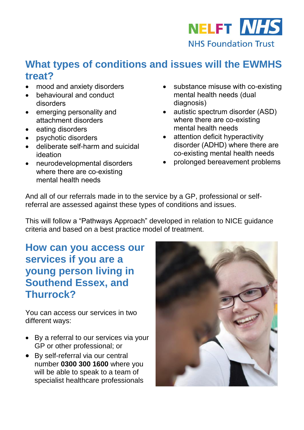

### **What types of conditions and issues will the EWMHS treat?**

- mood and anxiety disorders
- behavioural and conduct disorders
- emerging personality and attachment disorders
- eating disorders
- psychotic disorders
- deliberate self-harm and suicidal ideation
- neurodevelopmental disorders where there are co-existing mental health needs
- substance misuse with co-existing mental health needs (dual diagnosis)
- autistic spectrum disorder (ASD) where there are co-existing mental health needs
- attention deficit hyperactivity disorder (ADHD) where there are co-existing mental health needs
- prolonged bereavement problems

And all of our referrals made in to the service by a GP, professional or selfreferral are assessed against these types of conditions and issues.

This will follow a "Pathways Approach" developed in relation to NICE guidance criteria and based on a best practice model of treatment.

# **How can you access our services if you are a young person living in Southend Essex, and Thurrock?**

You can access our services in two different ways:

- By a referral to our services via your GP or other professional; or
- By self-referral via our central number **0300 300 1600** where you will be able to speak to a team of specialist healthcare professionals

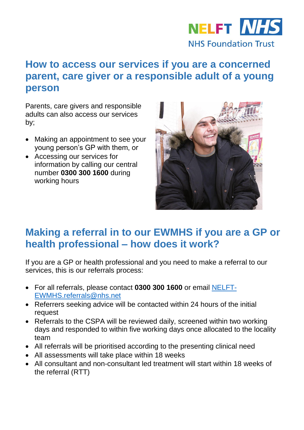

# **How to access our services if you are a concerned parent, care giver or a responsible adult of a young person**

Parents, care givers and responsible adults can also access our services by;

- Making an appointment to see your young person's GP with them, or
- Accessing our services for information by calling our central number **0300 300 1600** during working hours



# **Making a referral in to our EWMHS if you are a GP or health professional – how does it work?**

If you are a GP or health professional and you need to make a referral to our services, this is our referrals process:

- For all referrals, please contact **0300 300 1600** or email [NELFT-](mailto:NELFT-EWMHS.referrals@nhs.net)[EWMHS.referrals@nhs.net](mailto:NELFT-EWMHS.referrals@nhs.net)
- Referrers seeking advice will be contacted within 24 hours of the initial request
- Referrals to the CSPA will be reviewed daily, screened within two working days and responded to within five working days once allocated to the locality team
- All referrals will be prioritised according to the presenting clinical need
- All assessments will take place within 18 weeks
- All consultant and non-consultant led treatment will start within 18 weeks of the referral (RTT)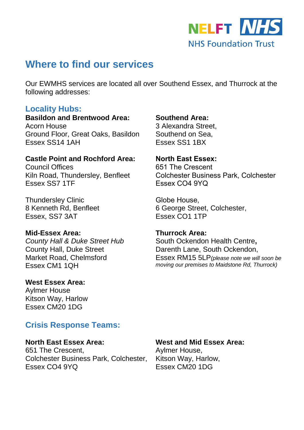

### **Where to find our services**

Our EWMHS services are located all over Southend Essex, and Thurrock at the following addresses:

#### **Locality Hubs:**

**Basildon and Brentwood Area:** Acorn House Ground Floor, Great Oaks, Basildon Essex SS14 1AH

#### **Castle Point and Rochford Area:**

Council Offices Kiln Road, Thundersley, Benfleet Essex SS7 1TF

Thundersley Clinic 8 Kenneth Rd, Benfleet Essex, SS7 3AT

#### **Mid-Essex Area:**

*County Hall & Duke Street Hub* County Hall, Duke Street Market Road, Chelmsford Essex CM1 1QH

#### **West Essex Area:**

Aylmer House Kitson Way, Harlow Essex CM20 1DG

### **Crisis Response Teams:**

#### **North East Essex Area:** 651 The Crescent, Colchester Business Park, Colchester, Essex CO4 9YQ

#### **Southend Area:**

3 Alexandra Street, Southend on Sea, Essex SS1 1BX

#### **North East Essex:**

651 The Crescent Colchester Business Park, Colchester Essex CO4 9YQ

Globe House, 6 George Street, Colchester, Essex CO1 1TP

#### **Thurrock Area:**

South Ockendon Health Centre**,** Darenth Lane, South Ockendon, Essex RM15 5LP*(please note we will soon be moving our premises to Maidstone Rd, Thurrock)*

#### **West and Mid Essex Area:**

Aylmer House, Kitson Way, Harlow, Essex CM20 1DG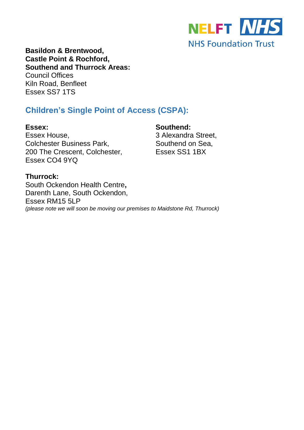

**Basildon & Brentwood, Castle Point & Rochford, Southend and Thurrock Areas:** Council Offices Kiln Road, Benfleet Essex SS7 1TS

### **Children's Single Point of Access (CSPA):**

**Essex:** Essex House, Colchester Business Park, 200 The Crescent, Colchester, Essex CO4 9YQ

**Southend:**

3 Alexandra Street, Southend on Sea, Essex SS1 1BX

#### **Thurrock:**

South Ockendon Health Centre**,** Darenth Lane, South Ockendon, Essex RM15 5LP *(please note we will soon be moving our premises to Maidstone Rd, Thurrock)*